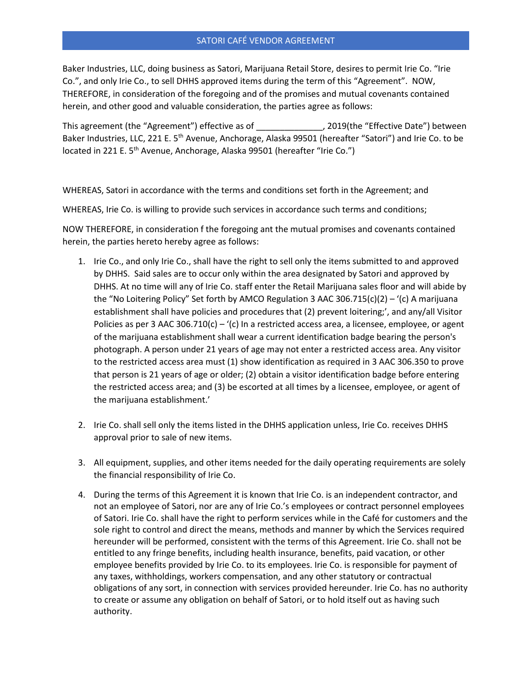## SATORI CAFÉ VENDOR AGREEMENT

Baker Industries, LLC, doing business as Satori, Marijuana Retail Store, desires to permit Irie Co. "Irie Co.", and only Irie Co., to sell DHHS approved items during the term of this "Agreement". NOW, THEREFORE, in consideration of the foregoing and of the promises and mutual covenants contained herein, and other good and valuable consideration, the parties agree as follows:

This agreement (the "Agreement") effective as of  $\qquad \qquad$  , 2019(the "Effective Date") between Baker Industries, LLC, 221 E. 5<sup>th</sup> Avenue, Anchorage, Alaska 99501 (hereafter "Satori") and Irie Co. to be located in 221 E. 5<sup>th</sup> Avenue, Anchorage, Alaska 99501 (hereafter "Irie Co.")

WHEREAS, Satori in accordance with the terms and conditions set forth in the Agreement; and

WHEREAS, Irie Co. is willing to provide such services in accordance such terms and conditions;

NOW THEREFORE, in consideration f the foregoing ant the mutual promises and covenants contained herein, the parties hereto hereby agree as follows:

- 1. Irie Co., and only Irie Co., shall have the right to sell only the items submitted to and approved by DHHS. Said sales are to occur only within the area designated by Satori and approved by DHHS. At no time will any of Irie Co. staff enter the Retail Marijuana sales floor and will abide by the "No Loitering Policy" Set forth by AMCO Regulation 3 AAC 306.715(c)(2) – '(c) A marijuana establishment shall have policies and procedures that (2) prevent loitering;', and any/all Visitor Policies as per 3 AAC 306.710(c) – '(c) In a restricted access area, a licensee, employee, or agent of the marijuana establishment shall wear a current identification badge bearing the person's photograph. A person under 21 years of age may not enter a restricted access area. Any visitor to the restricted access area must (1) show identification as required in 3 AAC 306.350 to prove that person is 21 years of age or older; (2) obtain a visitor identification badge before entering the restricted access area; and (3) be escorted at all times by a licensee, employee, or agent of the marijuana establishment.'
- 2. Irie Co. shall sell only the items listed in the DHHS application unless, Irie Co. receives DHHS approval prior to sale of new items.
- 3. All equipment, supplies, and other items needed for the daily operating requirements are solely the financial responsibility of Irie Co.
- 4. During the terms of this Agreement it is known that Irie Co. is an independent contractor, and not an employee of Satori, nor are any of Irie Co.'s employees or contract personnel employees of Satori. Irie Co. shall have the right to perform services while in the Café for customers and the sole right to control and direct the means, methods and manner by which the Services required hereunder will be performed, consistent with the terms of this Agreement. Irie Co. shall not be entitled to any fringe benefits, including health insurance, benefits, paid vacation, or other employee benefits provided by Irie Co. to its employees. Irie Co. is responsible for payment of any taxes, withholdings, workers compensation, and any other statutory or contractual obligations of any sort, in connection with services provided hereunder. Irie Co. has no authority to create or assume any obligation on behalf of Satori, or to hold itself out as having such authority.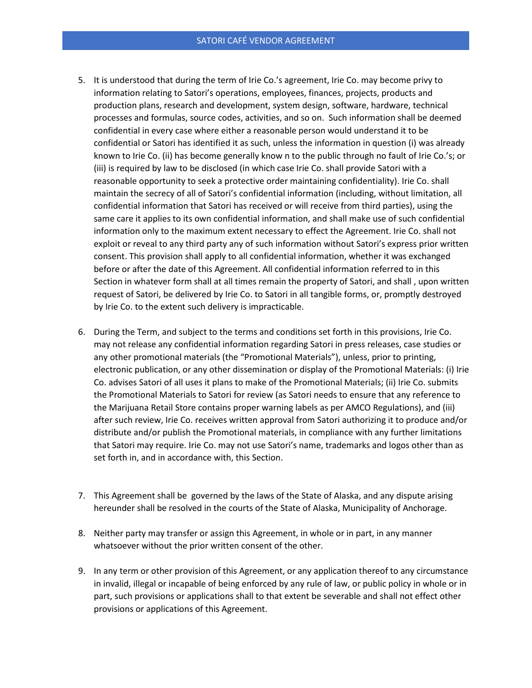- 5. It is understood that during the term of Irie Co.'s agreement, Irie Co. may become privy to information relating to Satori's operations, employees, finances, projects, products and production plans, research and development, system design, software, hardware, technical processes and formulas, source codes, activities, and so on. Such information shall be deemed confidential in every case where either a reasonable person would understand it to be confidential or Satori has identified it as such, unless the information in question (i) was already known to Irie Co. (ii) has become generally know n to the public through no fault of Irie Co.'s; or (iii) is required by law to be disclosed (in which case Irie Co. shall provide Satori with a reasonable opportunity to seek a protective order maintaining confidentiality). Irie Co. shall maintain the secrecy of all of Satori's confidential information (including, without limitation, all confidential information that Satori has received or will receive from third parties), using the same care it applies to its own confidential information, and shall make use of such confidential information only to the maximum extent necessary to effect the Agreement. Irie Co. shall not exploit or reveal to any third party any of such information without Satori's express prior written consent. This provision shall apply to all confidential information, whether it was exchanged before or after the date of this Agreement. All confidential information referred to in this Section in whatever form shall at all times remain the property of Satori, and shall , upon written request of Satori, be delivered by Irie Co. to Satori in all tangible forms, or, promptly destroyed by Irie Co. to the extent such delivery is impracticable.
- 6. During the Term, and subject to the terms and conditions set forth in this provisions, Irie Co. may not release any confidential information regarding Satori in press releases, case studies or any other promotional materials (the "Promotional Materials"), unless, prior to printing, electronic publication, or any other dissemination or display of the Promotional Materials: (i) Irie Co. advises Satori of all uses it plans to make of the Promotional Materials; (ii) Irie Co. submits the Promotional Materials to Satori for review (as Satori needs to ensure that any reference to the Marijuana Retail Store contains proper warning labels as per AMCO Regulations), and (iii) after such review, Irie Co. receives written approval from Satori authorizing it to produce and/or distribute and/or publish the Promotional materials, in compliance with any further limitations that Satori may require. Irie Co. may not use Satori's name, trademarks and logos other than as set forth in, and in accordance with, this Section.
- 7. This Agreement shall be governed by the laws of the State of Alaska, and any dispute arising hereunder shall be resolved in the courts of the State of Alaska, Municipality of Anchorage.
- 8. Neither party may transfer or assign this Agreement, in whole or in part, in any manner whatsoever without the prior written consent of the other.
- 9. In any term or other provision of this Agreement, or any application thereof to any circumstance in invalid, illegal or incapable of being enforced by any rule of law, or public policy in whole or in part, such provisions or applications shall to that extent be severable and shall not effect other provisions or applications of this Agreement.